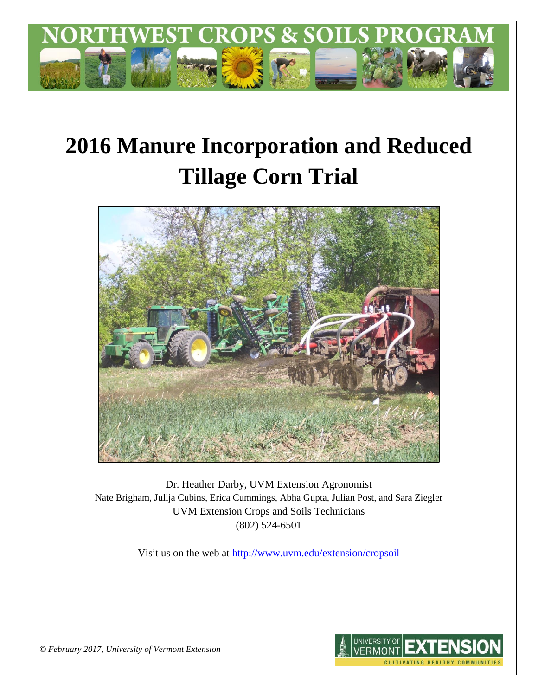

# **2016 Manure Incorporation and Reduced Tillage Corn Trial**



Dr. Heather Darby, UVM Extension Agronomist Nate Brigham, Julija Cubins, Erica Cummings, Abha Gupta, Julian Post, and Sara Ziegler UVM Extension Crops and Soils Technicians (802) 524-6501

Visit us on the web at<http://www.uvm.edu/extension/cropsoil>



*© February 2017, University of Vermont Extension*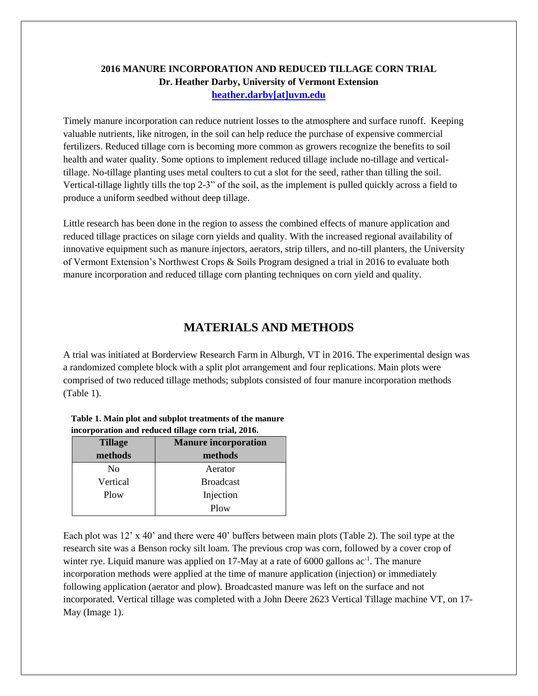## **2016 MANURE INCORPORATION AND REDUCED TILLAGE CORN TRIAL Dr. Heather Darby, University of Vermont Extension [heather.darby\[at\]uvm.edu](mailto:heather.darby@uvm.edu?subject=2013%20MINT%20Trial)**

Timely manure incorporation can reduce nutrient losses to the atmosphere and surface runoff. Keeping valuable nutrients, like nitrogen, in the soil can help reduce the purchase of expensive commercial fertilizers. Reduced tillage corn is becoming more common as growers recognize the benefits to soil health and water quality. Some options to implement reduced tillage include no-tillage and verticaltillage. No-tillage planting uses metal coulters to cut a slot for the seed, rather than tilling the soil. Vertical-tillage lightly tills the top 2-3" of the soil, as the implement is pulled quickly across a field to produce a uniform seedbed without deep tillage.

Little research has been done in the region to assess the combined effects of manure application and reduced tillage practices on silage corn yields and quality. With the increased regional availability of innovative equipment such as manure injectors, aerators, strip tillers, and no-till planters, the University of Vermont Extension's Northwest Crops & Soils Program designed a trial in 2016 to evaluate both manure incorporation and reduced tillage corn planting techniques on corn yield and quality.

# **MATERIALS AND METHODS**

A trial was initiated at Borderview Research Farm in Alburgh, VT in 2016. The experimental design was a randomized complete block with a split plot arrangement and four replications. Main plots were comprised of two reduced tillage methods; subplots consisted of four manure incorporation methods (Table 1).

| <b>Tillage</b> | <b>Manure incorporation</b> |
|----------------|-----------------------------|
| methods        | methods                     |
| No             | Aerator                     |
| Vertical       | <b>Broadcast</b>            |
| Plow           | Injection                   |
|                | Plow                        |

| Table 1. Main plot and subplot treatments of the manure |
|---------------------------------------------------------|
| incorporation and reduced tillage corn trial, 2016.     |

Each plot was 12' x 40' and there were 40' buffers between main plots (Table 2). The soil type at the research site was a Benson rocky silt loam. The previous crop was corn, followed by a cover crop of winter rye. Liquid manure was applied on 17-May at a rate of 6000 gallons ac<sup>-1</sup>. The manure incorporation methods were applied at the time of manure application (injection) or immediately following application (aerator and plow). Broadcasted manure was left on the surface and not incorporated. Vertical tillage was completed with a John Deere 2623 Vertical Tillage machine VT, on 17- May (Image 1).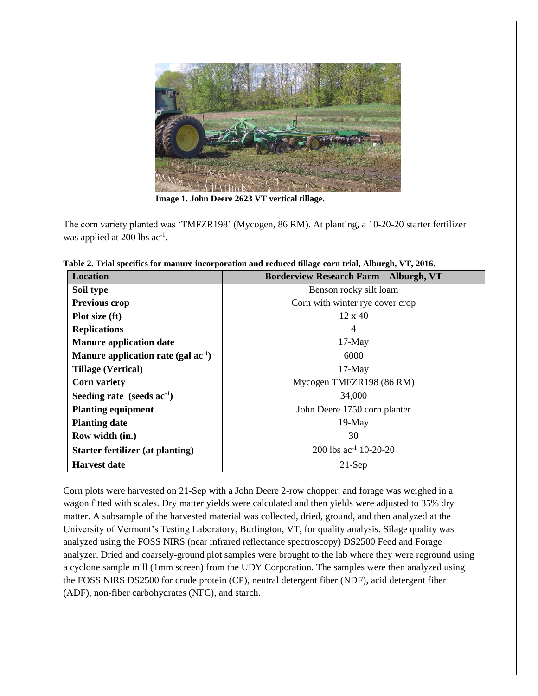

 **Image 1. John Deere 2623 VT vertical tillage.**

The corn variety planted was 'TMFZR198' (Mycogen, 86 RM). At planting, a 10-20-20 starter fertilizer was applied at 200 lbs ac<sup>-1</sup>.

| <b>Location</b>                       | <b>Borderview Research Farm - Alburgh, VT</b> |
|---------------------------------------|-----------------------------------------------|
| Soil type                             | Benson rocky silt loam                        |
| Previous crop                         | Corn with winter rye cover crop               |
| Plot size (ft)                        | $12 \times 40$                                |
| <b>Replications</b>                   | 4                                             |
| <b>Manure application date</b>        | $17-May$                                      |
| Manure application rate (gal $ac-1$ ) | 6000                                          |
| <b>Tillage (Vertical)</b>             | $17-May$                                      |
| <b>Corn variety</b>                   | Mycogen TMFZR198 (86 RM)                      |
| Seeding rate (seeds $ac^{-1}$ )       | 34,000                                        |
| <b>Planting equipment</b>             | John Deere 1750 corn planter                  |
| <b>Planting date</b>                  | $19-May$                                      |
| Row width (in.)                       | 30                                            |
| Starter fertilizer (at planting)      | 200 lbs $ac^{-1}$ 10-20-20                    |
| <b>Harvest date</b>                   | $21-Sep$                                      |

**Table 2. Trial specifics for manure incorporation and reduced tillage corn trial, Alburgh, VT, 2016.**

Corn plots were harvested on 21-Sep with a John Deere 2-row chopper, and forage was weighed in a wagon fitted with scales. Dry matter yields were calculated and then yields were adjusted to 35% dry matter. A subsample of the harvested material was collected, dried, ground, and then analyzed at the University of Vermont's Testing Laboratory, Burlington, VT, for quality analysis. Silage quality was analyzed using the FOSS NIRS (near infrared reflectance spectroscopy) DS2500 Feed and Forage analyzer. Dried and coarsely-ground plot samples were brought to the lab where they were reground using a cyclone sample mill (1mm screen) from the UDY Corporation. The samples were then analyzed using the FOSS NIRS DS2500 for crude protein (CP), neutral detergent fiber (NDF), acid detergent fiber (ADF), non-fiber carbohydrates (NFC), and starch.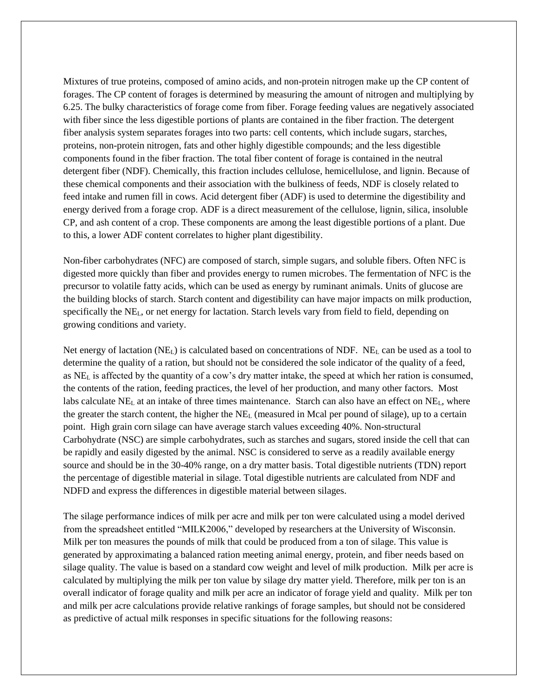Mixtures of true proteins, composed of amino acids, and non-protein nitrogen make up the CP content of forages. The CP content of forages is determined by measuring the amount of nitrogen and multiplying by 6.25. The bulky characteristics of forage come from fiber. Forage feeding values are negatively associated with fiber since the less digestible portions of plants are contained in the fiber fraction. The detergent fiber analysis system separates forages into two parts: cell contents, which include sugars, starches, proteins, non-protein nitrogen, fats and other highly digestible compounds; and the less digestible components found in the fiber fraction. The total fiber content of forage is contained in the neutral detergent fiber (NDF). Chemically, this fraction includes cellulose, hemicellulose, and lignin. Because of these chemical components and their association with the bulkiness of feeds, NDF is closely related to feed intake and rumen fill in cows. Acid detergent fiber (ADF) is used to determine the digestibility and energy derived from a forage crop. ADF is a direct measurement of the cellulose, lignin, silica, insoluble CP, and ash content of a crop. These components are among the least digestible portions of a plant. Due to this, a lower ADF content correlates to higher plant digestibility.

Non-fiber carbohydrates (NFC) are composed of starch, simple sugars, and soluble fibers. Often NFC is digested more quickly than fiber and provides energy to rumen microbes. The fermentation of NFC is the precursor to volatile fatty acids, which can be used as energy by ruminant animals. Units of glucose are the building blocks of starch. Starch content and digestibility can have major impacts on milk production, specifically the NEL, or net energy for lactation. Starch levels vary from field to field, depending on growing conditions and variety.

Net energy of lactation ( $NE<sub>L</sub>$ ) is calculated based on concentrations of NDF. NE<sub>L</sub> can be used as a tool to determine the quality of a ration, but should not be considered the sole indicator of the quality of a feed, as  $NE<sub>L</sub>$  is affected by the quantity of a cow's dry matter intake, the speed at which her ration is consumed, the contents of the ration, feeding practices, the level of her production, and many other factors. Most labs calculate  $NE<sub>L</sub>$  at an intake of three times maintenance. Starch can also have an effect on  $NE<sub>L</sub>$ , where the greater the starch content, the higher the  $NE<sub>L</sub>$  (measured in Mcal per pound of silage), up to a certain point. High grain corn silage can have average starch values exceeding 40%. Non-structural Carbohydrate (NSC) are simple carbohydrates, such as starches and sugars, stored inside the cell that can be rapidly and easily digested by the animal. NSC is considered to serve as a readily available energy source and should be in the 30-40% range, on a dry matter basis. Total digestible nutrients (TDN) report the percentage of digestible material in silage. Total digestible nutrients are calculated from NDF and NDFD and express the differences in digestible material between silages.

The silage performance indices of milk per acre and milk per ton were calculated using a model derived from the spreadsheet entitled "MILK2006," developed by researchers at the University of Wisconsin. Milk per ton measures the pounds of milk that could be produced from a ton of silage. This value is generated by approximating a balanced ration meeting animal energy, protein, and fiber needs based on silage quality. The value is based on a standard cow weight and level of milk production. Milk per acre is calculated by multiplying the milk per ton value by silage dry matter yield. Therefore, milk per ton is an overall indicator of forage quality and milk per acre an indicator of forage yield and quality. Milk per ton and milk per acre calculations provide relative rankings of forage samples, but should not be considered as predictive of actual milk responses in specific situations for the following reasons: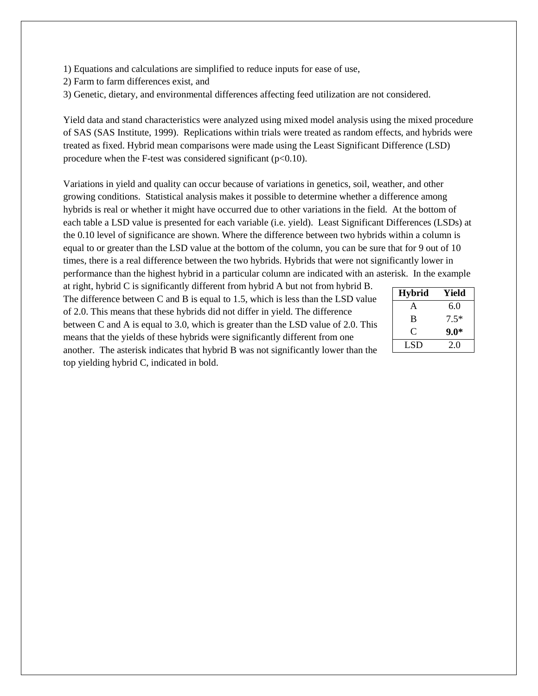- 1) Equations and calculations are simplified to reduce inputs for ease of use,
- 2) Farm to farm differences exist, and
- 3) Genetic, dietary, and environmental differences affecting feed utilization are not considered.

Yield data and stand characteristics were analyzed using mixed model analysis using the mixed procedure of SAS (SAS Institute, 1999). Replications within trials were treated as random effects, and hybrids were treated as fixed. Hybrid mean comparisons were made using the Least Significant Difference (LSD) procedure when the F-test was considered significant  $(p<0.10)$ .

Variations in yield and quality can occur because of variations in genetics, soil, weather, and other growing conditions. Statistical analysis makes it possible to determine whether a difference among hybrids is real or whether it might have occurred due to other variations in the field. At the bottom of each table a LSD value is presented for each variable (i.e. yield). Least Significant Differences (LSDs) at the 0.10 level of significance are shown. Where the difference between two hybrids within a column is equal to or greater than the LSD value at the bottom of the column, you can be sure that for 9 out of 10 times, there is a real difference between the two hybrids. Hybrids that were not significantly lower in performance than the highest hybrid in a particular column are indicated with an asterisk. In the example

at right, hybrid C is significantly different from hybrid A but not from hybrid B. The difference between C and B is equal to 1.5, which is less than the LSD value of 2.0. This means that these hybrids did not differ in yield. The difference between C and A is equal to 3.0, which is greater than the LSD value of 2.0. This means that the yields of these hybrids were significantly different from one another. The asterisk indicates that hybrid B was not significantly lower than the top yielding hybrid C, indicated in bold.

| <b>Hybrid</b> | Yield  |
|---------------|--------|
| A             | 6.0    |
| B             | $7.5*$ |
| C.            | $9.0*$ |
| LSD           | 2.0    |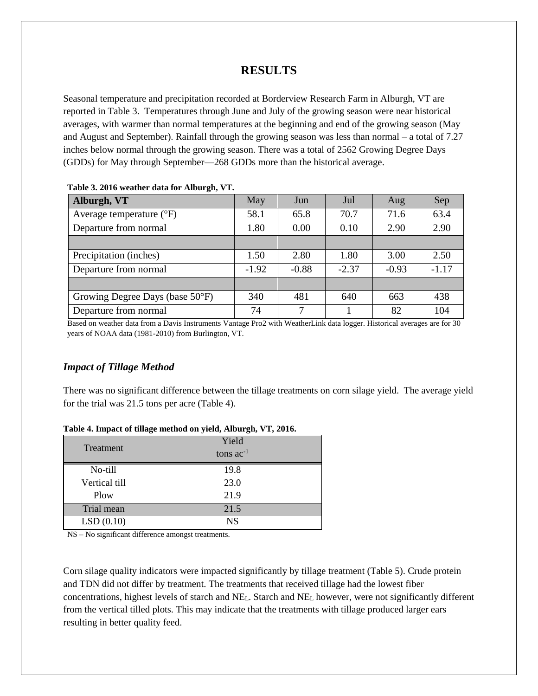# **RESULTS**

Seasonal temperature and precipitation recorded at Borderview Research Farm in Alburgh, VT are reported in Table 3. Temperatures through June and July of the growing season were near historical averages, with warmer than normal temperatures at the beginning and end of the growing season (May and August and September). Rainfall through the growing season was less than normal – a total of 7.27 inches below normal through the growing season. There was a total of 2562 Growing Degree Days (GDDs) for May through September—268 GDDs more than the historical average.

| Alburgh, VT                       | May     | Jun     | Jul     | Aug     | Sep     |
|-----------------------------------|---------|---------|---------|---------|---------|
| Average temperature $(^{\circ}F)$ | 58.1    | 65.8    | 70.7    | 71.6    | 63.4    |
| Departure from normal             | 1.80    | 0.00    | 0.10    | 2.90    | 2.90    |
|                                   |         |         |         |         |         |
| Precipitation (inches)            | 1.50    | 2.80    | 1.80    | 3.00    | 2.50    |
| Departure from normal             | $-1.92$ | $-0.88$ | $-2.37$ | $-0.93$ | $-1.17$ |
|                                   |         |         |         |         |         |
| Growing Degree Days (base 50°F)   | 340     | 481     | 640     | 663     | 438     |
| Departure from normal             | 74      | 7       |         | 82      | 104     |

#### **Table 3. 2016 weather data for Alburgh, VT.**

Based on weather data from a Davis Instruments Vantage Pro2 with WeatherLink data logger. Historical averages are for 30 years of NOAA data (1981-2010) from Burlington, VT.

## *Impact of Tillage Method*

There was no significant difference between the tillage treatments on corn silage yield. The average yield for the trial was 21.5 tons per acre (Table 4).

|               | Yield          |
|---------------|----------------|
| Treatment     | tons $ac^{-1}$ |
| No-till       | 19.8           |
| Vertical till | 23.0           |
| Plow          | 21.9           |
| Trial mean    | 21.5           |
| LSD(0.10)     | <b>NS</b>      |
|               |                |

**Table 4. Impact of tillage method on yield, Alburgh, VT, 2016.**

NS – No significant difference amongst treatments.

Corn silage quality indicators were impacted significantly by tillage treatment (Table 5). Crude protein and TDN did not differ by treatment. The treatments that received tillage had the lowest fiber concentrations, highest levels of starch and NEL. Starch and NE<sup>L</sup> however, were not significantly different from the vertical tilled plots. This may indicate that the treatments with tillage produced larger ears resulting in better quality feed.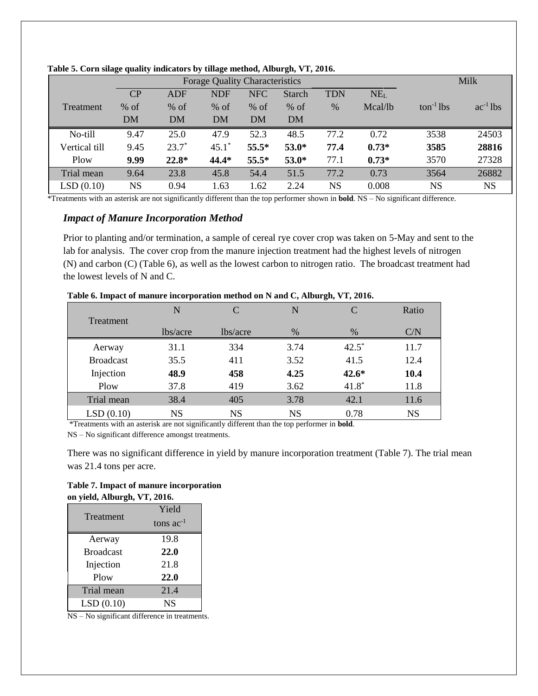|                                       | $\mathbf{a}$ |         | -          |            |           |            |                 |                       |               |  |
|---------------------------------------|--------------|---------|------------|------------|-----------|------------|-----------------|-----------------------|---------------|--|
| <b>Forage Quality Characteristics</b> |              |         |            |            |           |            |                 |                       | Milk          |  |
|                                       | CP           | ADF     | <b>NDF</b> | <b>NFC</b> | Starch    | <b>TDN</b> | NE <sub>L</sub> |                       |               |  |
| Treatment                             | $%$ of       | $%$ of  | $%$ of     | $%$ of     | $%$ of    | %          | Mcal/lb         | $\text{ton}^{-1}$ lbs | $ac^{-1}$ lbs |  |
|                                       | <b>DM</b>    | DM      | <b>DM</b>  | DM         | <b>DM</b> |            |                 |                       |               |  |
| No-till                               | 9.47         | 25.0    | 47.9       | 52.3       | 48.5      | 77.2       | 0.72            | 3538                  | 24503         |  |
| Vertical till                         | 9.45         | $23.7*$ | $45.1*$    | $55.5*$    | $53.0*$   | 77.4       | $0.73*$         | 3585                  | 28816         |  |
| Plow                                  | 9.99         | $22.8*$ | 44.4*      | $55.5*$    | $53.0*$   | 77.1       | $0.73*$         | 3570                  | 27328         |  |
| Trial mean                            | 9.64         | 23.8    | 45.8       | 54.4       | 51.5      | 77.2       | 0.73            | 3564                  | 26882         |  |
| LSD(0.10)                             | NS           | 0.94    | 1.63       | 1.62       | 2.24      | NS         | 0.008           | NS                    | <b>NS</b>     |  |

#### **Table 5. Corn silage quality indicators by tillage method, Alburgh, VT, 2016.**

\*Treatments with an asterisk are not significantly different than the top performer shown in **bold**. NS – No significant difference.

### *Impact of Manure Incorporation Method*

Prior to planting and/or termination, a sample of cereal rye cover crop was taken on 5-May and sent to the lab for analysis. The cover crop from the manure injection treatment had the highest levels of nitrogen (N) and carbon (C) (Table 6), as well as the lowest carbon to nitrogen ratio. The broadcast treatment had the lowest levels of N and C.

|                  | N         | C         | N             | $\mathcal{C}_{\mathcal{C}}$ | Ratio     |
|------------------|-----------|-----------|---------------|-----------------------------|-----------|
| <b>Treatment</b> | lbs/acre  | lbs/acre  | $\frac{0}{0}$ | $\frac{0}{0}$               | C/N       |
|                  |           |           |               |                             |           |
| Aerway           | 31.1      | 334       | 3.74          | $42.5*$                     | 11.7      |
| <b>Broadcast</b> | 35.5      | 411       | 3.52          | 41.5                        | 12.4      |
| Injection        | 48.9      | 458       | 4.25          | $42.6*$                     | 10.4      |
| Plow             | 37.8      | 419       | 3.62          | $41.8*$                     | 11.8      |
| Trial mean       | 38.4      | 405       | 3.78          | 42.1                        | 11.6      |
| LSD(0.10)        | <b>NS</b> | <b>NS</b> | <b>NS</b>     | 0.78                        | <b>NS</b> |

#### **Table 6. Impact of manure incorporation method on N and C, Alburgh, VT, 2016.**

\*Treatments with an asterisk are not significantly different than the top performer in **bold**.

NS – No significant difference amongst treatments.

There was no significant difference in yield by manure incorporation treatment (Table 7). The trial mean was 21.4 tons per acre.

### **Table 7. Impact of manure incorporation on yield, Alburgh, VT, 2016.**

|                  | Yield          |
|------------------|----------------|
| Treatment        | tons $ac^{-1}$ |
| Aerway           | 19.8           |
| <b>Broadcast</b> | 22.0           |
| Injection        | 21.8           |
| Plow             | 22.0           |
| Trial mean       | 21.4           |
| LSD(0.10)        | NS             |

NS – No significant difference in treatments.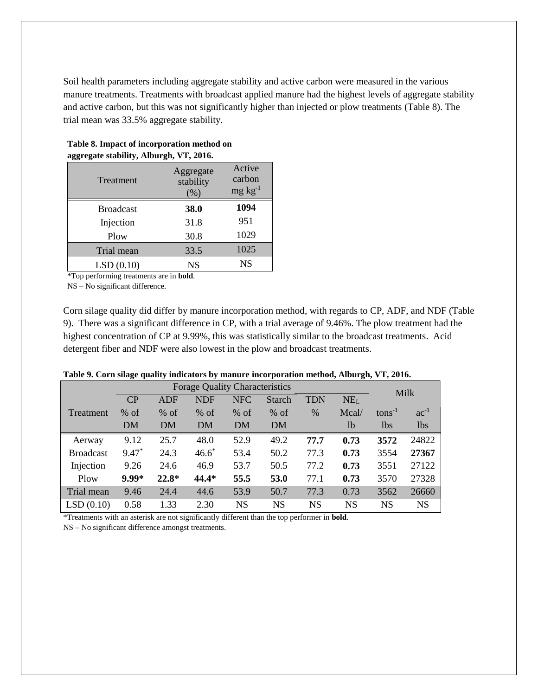Soil health parameters including aggregate stability and active carbon were measured in the various manure treatments. Treatments with broadcast applied manure had the highest levels of aggregate stability and active carbon, but this was not significantly higher than injected or plow treatments (Table 8). The trial mean was 33.5% aggregate stability.

| -88- -8- -       |                                  |                                     |  |
|------------------|----------------------------------|-------------------------------------|--|
| Treatment        | Aggregate<br>stability<br>$(\%)$ | Active<br>carbon<br>$mg \, kg^{-1}$ |  |
| <b>Broadcast</b> | 38.0                             | 1094                                |  |
| Injection        | 31.8                             | 951                                 |  |
| Plow             | 30.8                             | 1029                                |  |
| Trial mean       | 33.5                             | 1025                                |  |
| LSD(0.10)        | <b>NS</b>                        | <b>NS</b>                           |  |

## **Table 8. Impact of incorporation method on aggregate stability, Alburgh, VT, 2016.**

\*Top performing treatments are in **bold**.

NS – No significant difference.

Corn silage quality did differ by manure incorporation method, with regards to CP, ADF, and NDF (Table 9). There was a significant difference in CP, with a trial average of 9.46%. The plow treatment had the highest concentration of CP at 9.99%, this was statistically similar to the broadcast treatments. Acid detergent fiber and NDF were also lowest in the plow and broadcast treatments.

| <b>Forage Quality Characteristics</b> |           |         |            |            |           |            | Milk            |             |            |
|---------------------------------------|-----------|---------|------------|------------|-----------|------------|-----------------|-------------|------------|
|                                       | CP        | ADF     | <b>NDF</b> | <b>NFC</b> | Starch    | <b>TDN</b> | NE <sub>L</sub> |             |            |
| Treatment                             | $%$ of    | $%$ of  | $%$ of     | $%$ of     | $%$ of    | $\%$       | Mcal/           | $tons^{-1}$ | $ac^{-1}$  |
|                                       | <b>DM</b> | DM      | DM         | DM         | DM        |            | 1 <sub>b</sub>  | 1bs         | <i>lbs</i> |
| Aerway                                | 9.12      | 25.7    | 48.0       | 52.9       | 49.2      | 77.7       | 0.73            | 3572        | 24822      |
| <b>Broadcast</b>                      | $9.47*$   | 24.3    | $46.6*$    | 53.4       | 50.2      | 77.3       | 0.73            | 3554        | 27367      |
| Injection                             | 9.26      | 24.6    | 46.9       | 53.7       | 50.5      | 77.2       | 0.73            | 3551        | 27122      |
| Plow                                  | $9.99*$   | $22.8*$ | 44.4*      | 55.5       | 53.0      | 77.1       | 0.73            | 3570        | 27328      |
| Trial mean                            | 9.46      | 24.4    | 44.6       | 53.9       | 50.7      | 77.3       | 0.73            | 3562        | 26660      |
| LSD(0.10)                             | 0.58      | 1.33    | 2.30       | NS         | <b>NS</b> | <b>NS</b>  | <b>NS</b>       | <b>NS</b>   | <b>NS</b>  |

#### **Table 9. Corn silage quality indicators by manure incorporation method, Alburgh, VT, 2016.**

\*Treatments with an asterisk are not significantly different than the top performer in **bold**.

NS – No significant difference amongst treatments.